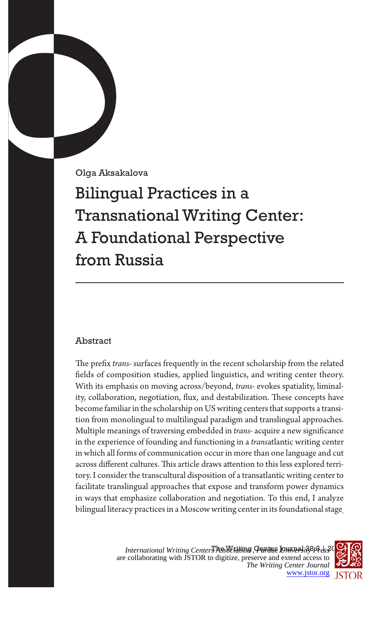Olga Aksakalova

Bilingual Practices in a Transnational Writing Center: A Foundational Perspective from Russia

# Abstract

The prefix *trans-* surfaces frequently in the recent scholarship from the related fields of composition studies, applied linguistics, and writing center theory. With its emphasis on moving across/beyond, *trans-* evokes spatiality, liminality, collaboration, negotiation, flux, and destabilization. These concepts have become familiar in the scholarship on US writing centers that supports a transition from monolingual to multilingual paradigm and translingual approaches. Multiple meanings of traversing embedded in *trans-* acquire a new significance in the experience of founding and functioning in a *trans*atlantic writing center in which all forms of communication occur in more than one language and cut across different cultures. This article draws attention to this less explored territory. I consider the transcultural disposition of a transatlantic writing center to facilitate translingual approaches that expose and transform power dynamics in ways that emphasize collaboration and negotiation. To this end, I analyze bilingual literacy practices in a Moscow writing center in its foundational stage.

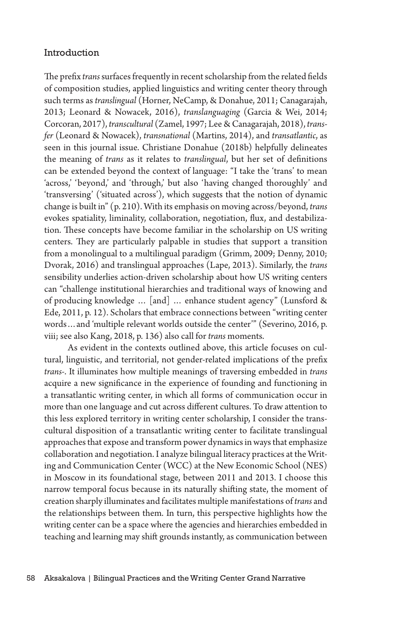## Introduction

The prefix *trans* surfaces frequently in recent scholarship from the related fields of composition studies, applied linguistics and writing center theory through such terms as *translingual* (Horner, NeCamp, & Donahue, 2011; Canagarajah, 2013; Leonard & Nowacek, 2016), *translanguaging* (Garcia & Wei, 2014; Corcoran, 2017), *transcultural* (Zamel, 1997; Lee & Canagarajah, 2018), *transfer* (Leonard & Nowacek), *transnational* (Martins, 2014), and *transatlantic*, as seen in this journal issue. Christiane Donahue (2018b) helpfully delineates the meaning of *trans* as it relates to *translingual*, but her set of definitions can be extended beyond the context of language: "I take the 'trans' to mean 'across,' 'beyond,' and 'through,' but also 'having changed thoroughly' and 'transversing' ('situated across'), which suggests that the notion of dynamic change is built in" (p. 210). With its emphasis on moving across/beyond, *trans* evokes spatiality, liminality, collaboration, negotiation, flux, and destabilization. These concepts have become familiar in the scholarship on US writing centers. They are particularly palpable in studies that support a transition from a monolingual to a multilingual paradigm (Grimm, 2009; Denny, 2010; Dvorak, 2016) and translingual approaches (Lape, 2013). Similarly, the *trans* sensibility underlies action-driven scholarship about how US writing centers can "challenge institutional hierarchies and traditional ways of knowing and of producing knowledge … [and] … enhance student agency" (Lunsford & Ede, 2011, p. 12). Scholars that embrace connections between "writing center words…and 'multiple relevant worlds outside the center'" (Severino, 2016, p. viii; see also Kang, 2018, p. 136) also call for *trans* moments.

As evident in the contexts outlined above, this article focuses on cultural, linguistic, and territorial, not gender-related implications of the prefix *trans-*. It illuminates how multiple meanings of traversing embedded in *trans* acquire a new significance in the experience of founding and functioning in a transatlantic writing center, in which all forms of communication occur in more than one language and cut across different cultures. To draw attention to this less explored territory in writing center scholarship, I consider the transcultural disposition of a transatlantic writing center to facilitate translingual approaches that expose and transform power dynamics in ways that emphasize collaboration and negotiation. I analyze bilingual literacy practices at the Writing and Communication Center (WCC) at the New Economic School (NES) in Moscow in its foundational stage, between 2011 and 2013. I choose this narrow temporal focus because in its naturally shifting state, the moment of creation sharply illuminates and facilitates multiple manifestations of *trans* and the relationships between them. In turn, this perspective highlights how the writing center can be a space where the agencies and hierarchies embedded in teaching and learning may shift grounds instantly, as communication between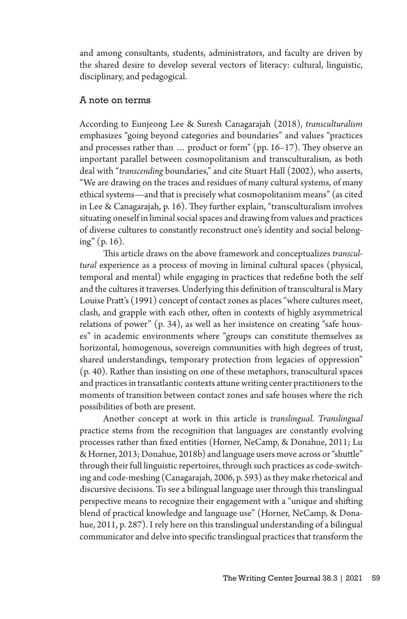and among consultants, students, administrators, and faculty are driven by the shared desire to develop several vectors of literacy: cultural, linguistic, disciplinary, and pedagogical.

### A note on terms

According to Eunjeong Lee & Suresh Canagarajah (2018), *transculturalism* emphasizes "going beyond categories and boundaries" and values "practices and processes rather than … product or form" (pp. 16–17). They observe an important parallel between cosmopolitanism and transculturalism, as both deal with "*transcending* boundaries," and cite Stuart Hall (2002), who asserts, "We are drawing on the traces and residues of many cultural systems, of many ethical systems—and that is precisely what cosmopolitanism means" (as cited in Lee & Canagarajah, p. 16). They further explain, "transculturalism involves situating oneself in liminal social spaces and drawing from values and practices of diverse cultures to constantly reconstruct one's identity and social belonging" (p. 16).

This article draws on the above framework and conceptualizes *transcultural* experience as a process of moving in liminal cultural spaces (physical, temporal and mental) while engaging in practices that redefine both the self and the cultures it traverses. Underlying this definition of transcultural is Mary Louise Pratt's (1991) concept of contact zones as places "where cultures meet, clash, and grapple with each other, often in contexts of highly asymmetrical relations of power" (p. 34), as well as her insistence on creating "safe houses" in academic environments where "groups can constitute themselves as horizontal, homogenous, sovereign communities with high degrees of trust, shared understandings, temporary protection from legacies of oppression" (p. 40). Rather than insisting on one of these metaphors, transcultural spaces and practices in transatlantic contexts attune writing center practitioners to the moments of transition between contact zones and safe houses where the rich possibilities of both are present.

Another concept at work in this article is *translingual*. *Translingual* practice stems from the recognition that languages are constantly evolving processes rather than fixed entities (Horner, NeCamp, & Donahue, 2011; Lu & Horner, 2013; Donahue, 2018b) and language users move across or "shuttle" through their full linguistic repertoires, through such practices as code-switching and code-meshing (Canagarajah, 2006, p. 593) as they make rhetorical and discursive decisions. To see a bilingual language user through this translingual perspective means to recognize their engagement with a "unique and shifting blend of practical knowledge and language use" (Horner, NeCamp, & Donahue, 2011, p. 287). I rely here on this translingual understanding of a bilingual communicator and delve into specific translingual practices that transform the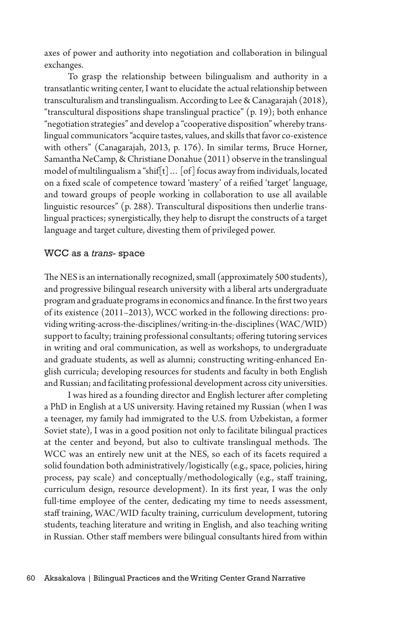axes of power and authority into negotiation and collaboration in bilingual exchanges.

To grasp the relationship between bilingualism and authority in a transatlantic writing center, I want to elucidate the actual relationship between transculturalism and translingualism. According to Lee & Canagarajah (2018), "transcultural dispositions shape translingual practice" (p. 19); both enhance "negotiation strategies" and develop a "cooperative disposition" whereby translingual communicators "acquire tastes, values, and skills that favor co-existence with others" (Canagarajah, 2013, p. 176). In similar terms, Bruce Horner, Samantha NeCamp, & Christiane Donahue (2011) observe in the translingual model of multilingualism a "shif[t]… [of] focus away from individuals, located on a fixed scale of competence toward 'mastery' of a reified 'target' language, and toward groups of people working in collaboration to use all available linguistic resources" (p. 288). Transcultural dispositions then underlie translingual practices; synergistically, they help to disrupt the constructs of a target language and target culture, divesting them of privileged power.

### WCC as a *trans*- space

The NES is an internationally recognized, small (approximately 500 students), and progressive bilingual research university with a liberal arts undergraduate program and graduate programs in economics and finance. In the first two years of its existence (2011–2013), WCC worked in the following directions: providing writing-across-the-disciplines/writing-in-the-disciplines (WAC/WID) support to faculty; training professional consultants; offering tutoring services in writing and oral communication, as well as workshops, to undergraduate and graduate students, as well as alumni; constructing writing-enhanced English curricula; developing resources for students and faculty in both English and Russian; and facilitating professional development across city universities.

I was hired as a founding director and English lecturer after completing a PhD in English at a US university. Having retained my Russian (when I was a teenager, my family had immigrated to the U.S. from Uzbekistan, a former Soviet state), I was in a good position not only to facilitate bilingual practices at the center and beyond, but also to cultivate translingual methods. The WCC was an entirely new unit at the NES, so each of its facets required a solid foundation both administratively/logistically (e.g., space, policies, hiring process, pay scale) and conceptually/methodologically (e.g., staff training, curriculum design, resource development). In its first year, I was the only full-time employee of the center, dedicating my time to needs assessment, staff training, WAC/WID faculty training, curriculum development, tutoring students, teaching literature and writing in English, and also teaching writing in Russian. Other staff members were bilingual consultants hired from within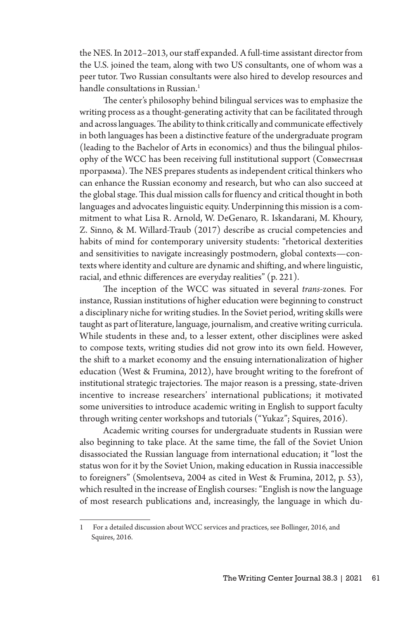the NES. In 2012–2013, our staff expanded. A full-time assistant director from the U.S. joined the team, along with two US consultants, one of whom was a peer tutor. Two Russian consultants were also hired to develop resources and handle consultations in Russian.<sup>1</sup>

The center's philosophy behind bilingual services was to emphasize the writing process as a thought-generating activity that can be facilitated through and across languages. The ability to think critically and communicate effectively in both languages has been a distinctive feature of the undergraduate program (leading to the Bachelor of Arts in economics) and thus the bilingual philosophy of the WCC has been receiving full institutional support (Совместная программа). The NES prepares students as independent critical thinkers who can enhance the Russian economy and research, but who can also succeed at the global stage. This dual mission calls for fluency and critical thought in both languages and advocates linguistic equity. Underpinning this mission is a commitment to what Lisa R. Arnold, W. DeGenaro, R. Iskandarani, M. Khoury, Z. Sinno, & M. Willard-Traub (2017) describe as crucial competencies and habits of mind for contemporary university students: "rhetorical dexterities and sensitivities to navigate increasingly postmodern, global contexts—contexts where identity and culture are dynamic and shifting, and where linguistic, racial, and ethnic differences are everyday realities" (p. 221).

The inception of the WCC was situated in several *trans*-zones. For instance, Russian institutions of higher education were beginning to construct a disciplinary niche for writing studies. In the Soviet period, writing skills were taught as part of literature, language, journalism, and creative writing curricula. While students in these and, to a lesser extent, other disciplines were asked to compose texts, writing studies did not grow into its own field. However, the shift to a market economy and the ensuing internationalization of higher education (West & Frumina, 2012), have brought writing to the forefront of institutional strategic trajectories. The major reason is a pressing, state-driven incentive to increase researchers' international publications; it motivated some universities to introduce academic writing in English to support faculty through writing center workshops and tutorials ("Yukaz"; Squires, 2016).

Academic writing courses for undergraduate students in Russian were also beginning to take place. At the same time, the fall of the Soviet Union disassociated the Russian language from international education; it "lost the status won for it by the Soviet Union, making education in Russia inaccessible to foreigners" (Smolentseva, 2004 as cited in West & Frumina, 2012, p. 53), which resulted in the increase of English courses: "English is now the language of most research publications and, increasingly, the language in which du-

<sup>1</sup> For a detailed discussion about WCC services and practices, see Bollinger, 2016, and Squires, 2016.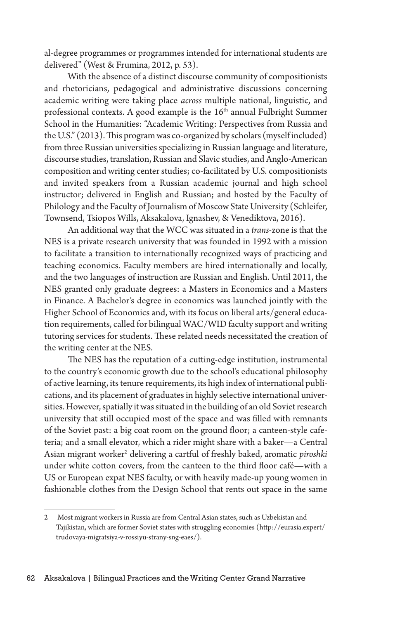al-degree programmes or programmes intended for international students are delivered" (West & Frumina, 2012, p. 53).

With the absence of a distinct discourse community of compositionists and rhetoricians, pedagogical and administrative discussions concerning academic writing were taking place *across* multiple national, linguistic, and professional contexts. A good example is the 16<sup>th</sup> annual Fulbright Summer School in the Humanities: "Academic Writing: Perspectives from Russia and the U.S." (2013). This program was co-organized by scholars (myself included) from three Russian universities specializing in Russian language and literature, discourse studies, translation, Russian and Slavic studies, and Anglo-American composition and writing center studies; co-facilitated by U.S. compositionists and invited speakers from a Russian academic journal and high school instructor; delivered in English and Russian; and hosted by the Faculty of Philology and the Faculty of Journalism of Moscow State University (Schleifer, Townsend, Tsiopos Wills, Aksakalova, Ignashev, & Venediktova, 2016).

An additional way that the WCC was situated in a *trans*-zone is that the NES is a private research university that was founded in 1992 with a mission to facilitate a transition to internationally recognized ways of practicing and teaching economics. Faculty members are hired internationally and locally, and the two languages of instruction are Russian and English. Until 2011, the NES granted only graduate degrees: a Masters in Economics and a Masters in Finance. A Bachelor's degree in economics was launched jointly with the Higher School of Economics and, with its focus on liberal arts/general education requirements, called for bilingual WAC/WID faculty support and writing tutoring services for students. These related needs necessitated the creation of the writing center at the NES.

The NES has the reputation of a cutting-edge institution, instrumental to the country's economic growth due to the school's educational philosophy of active learning, its tenure requirements, its high index of international publications, and its placement of graduates in highly selective international universities. However, spatially it was situated in the building of an old Soviet research university that still occupied most of the space and was filled with remnants of the Soviet past: a big coat room on the ground floor; a canteen-style cafeteria; and a small elevator, which a rider might share with a baker—a Central Asian migrant worker2 delivering a cartful of freshly baked, aromatic *piroshki* under white cotton covers, from the canteen to the third floor café—with a US or European expat NES faculty, or with heavily made-up young women in fashionable clothes from the Design School that rents out space in the same

<sup>2</sup> Most migrant workers in Russia are from Central Asian states, such as Uzbekistan and Tajikistan, which are former Soviet states with struggling economies (http://eurasia.expert/ trudovaya-migratsiya-v-rossiyu-strany-sng-eaes/).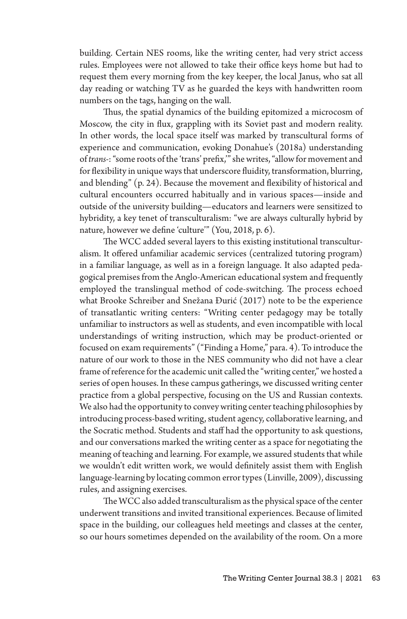building. Certain NES rooms, like the writing center, had very strict access rules. Employees were not allowed to take their office keys home but had to request them every morning from the key keeper, the local Janus, who sat all day reading or watching TV as he guarded the keys with handwritten room numbers on the tags, hanging on the wall.

Thus, the spatial dynamics of the building epitomized a microcosm of Moscow, the city in flux, grappling with its Soviet past and modern reality. In other words, the local space itself was marked by transcultural forms of experience and communication, evoking Donahue's (2018a) understanding of *trans-*: "some roots of the 'trans' prefix,'" she writes, "allow for movement and for flexibility in unique ways that underscore fluidity, transformation, blurring, and blending" (p. 24). Because the movement and flexibility of historical and cultural encounters occurred habitually and in various spaces—inside and outside of the university building—educators and learners were sensitized to hybridity, a key tenet of transculturalism: "we are always culturally hybrid by nature, however we define 'culture'" (You, 2018, p. 6).

The WCC added several layers to this existing institutional transculturalism. It offered unfamiliar academic services (centralized tutoring program) in a familiar language, as well as in a foreign language. It also adapted pedagogical premises from the Anglo-American educational system and frequently employed the translingual method of code-switching. The process echoed what Brooke Schreiber and Snežana Đurić (2017) note to be the experience of transatlantic writing centers: "Writing center pedagogy may be totally unfamiliar to instructors as well as students, and even incompatible with local understandings of writing instruction, which may be product-oriented or focused on exam requirements" ("Finding a Home," para. 4). To introduce the nature of our work to those in the NES community who did not have a clear frame of reference for the academic unit called the "writing center," we hosted a series of open houses. In these campus gatherings, we discussed writing center practice from a global perspective, focusing on the US and Russian contexts. We also had the opportunity to convey writing center teaching philosophies by introducing process-based writing, student agency, collaborative learning, and the Socratic method. Students and staff had the opportunity to ask questions, and our conversations marked the writing center as a space for negotiating the meaning of teaching and learning. For example, we assured students that while we wouldn't edit written work, we would definitely assist them with English language-learning by locating common error types (Linville, 2009), discussing rules, and assigning exercises.

The WCC also added transculturalism as the physical space of the center underwent transitions and invited transitional experiences. Because of limited space in the building, our colleagues held meetings and classes at the center, so our hours sometimes depended on the availability of the room. On a more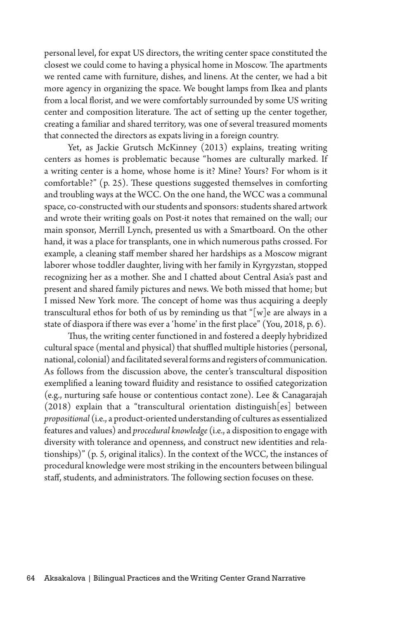personal level, for expat US directors, the writing center space constituted the closest we could come to having a physical home in Moscow. The apartments we rented came with furniture, dishes, and linens. At the center, we had a bit more agency in organizing the space. We bought lamps from Ikea and plants from a local florist, and we were comfortably surrounded by some US writing center and composition literature. The act of setting up the center together, creating a familiar and shared territory, was one of several treasured moments that connected the directors as expats living in a foreign country.

Yet, as Jackie Grutsch McKinney (2013) explains, treating writing centers as homes is problematic because "homes are culturally marked. If a writing center is a home, whose home is it? Mine? Yours? For whom is it comfortable?" (p. 25). These questions suggested themselves in comforting and troubling ways at the WCC. On the one hand, the WCC was a communal space, co-constructed with our students and sponsors: students shared artwork and wrote their writing goals on Post-it notes that remained on the wall; our main sponsor, Merrill Lynch, presented us with a Smartboard. On the other hand, it was a place for transplants, one in which numerous paths crossed. For example, a cleaning staff member shared her hardships as a Moscow migrant laborer whose toddler daughter, living with her family in Kyrgyzstan, stopped recognizing her as a mother. She and I chatted about Central Asia's past and present and shared family pictures and news. We both missed that home; but I missed New York more. The concept of home was thus acquiring a deeply transcultural ethos for both of us by reminding us that "[w]e are always in a state of diaspora if there was ever a 'home' in the first place" (You, 2018, p. 6).

Thus, the writing center functioned in and fostered a deeply hybridized cultural space (mental and physical) that shuffled multiple histories (personal, national, colonial) and facilitated several forms and registers of communication. As follows from the discussion above, the center's transcultural disposition exemplified a leaning toward fluidity and resistance to ossified categorization (e.g., nurturing safe house or contentious contact zone). Lee & Canagarajah (2018) explain that a "transcultural orientation distinguish[es] between *propositional* (i.e., a product-oriented understanding of cultures as essentialized features and values) and *procedural knowledge* (i.e., a disposition to engage with diversity with tolerance and openness, and construct new identities and relationships)" (p. 5, original italics). In the context of the WCC, the instances of procedural knowledge were most striking in the encounters between bilingual staff, students, and administrators. The following section focuses on these.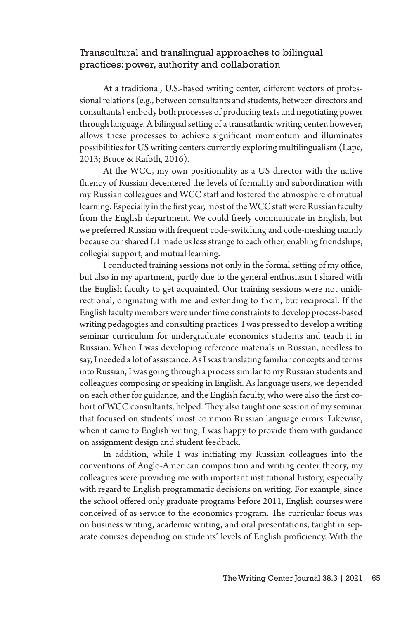## Transcultural and translingual approaches to bilingual practices: power, authority and collaboration

At a traditional, U.S.-based writing center, different vectors of professional relations (e.g., between consultants and students, between directors and consultants) embody both processes of producing texts and negotiating power through language. A bilingual setting of a transatlantic writing center, however, allows these processes to achieve significant momentum and illuminates possibilities for US writing centers currently exploring multilingualism (Lape, 2013; Bruce & Rafoth, 2016).

At the WCC, my own positionality as a US director with the native fluency of Russian decentered the levels of formality and subordination with my Russian colleagues and WCC staff and fostered the atmosphere of mutual learning. Especially in the first year, most of the WCC staff were Russian faculty from the English department. We could freely communicate in English, but we preferred Russian with frequent code-switching and code-meshing mainly because our shared L1 made us less strange to each other, enabling friendships, collegial support, and mutual learning.

I conducted training sessions not only in the formal setting of my office, but also in my apartment, partly due to the general enthusiasm I shared with the English faculty to get acquainted. Our training sessions were not unidirectional, originating with me and extending to them, but reciprocal. If the English faculty members were under time constraints to develop process-based writing pedagogies and consulting practices, I was pressed to develop a writing seminar curriculum for undergraduate economics students and teach it in Russian. When I was developing reference materials in Russian, needless to say, I needed a lot of assistance. As I was translating familiar concepts and terms into Russian, I was going through a process similar to my Russian students and colleagues composing or speaking in English. As language users, we depended on each other for guidance, and the English faculty, who were also the first cohort of WCC consultants, helped. They also taught one session of my seminar that focused on students' most common Russian language errors. Likewise, when it came to English writing, I was happy to provide them with guidance on assignment design and student feedback.

In addition, while I was initiating my Russian colleagues into the conventions of Anglo-American composition and writing center theory, my colleagues were providing me with important institutional history, especially with regard to English programmatic decisions on writing. For example, since the school offered only graduate programs before 2011, English courses were conceived of as service to the economics program. The curricular focus was on business writing, academic writing, and oral presentations, taught in separate courses depending on students' levels of English proficiency. With the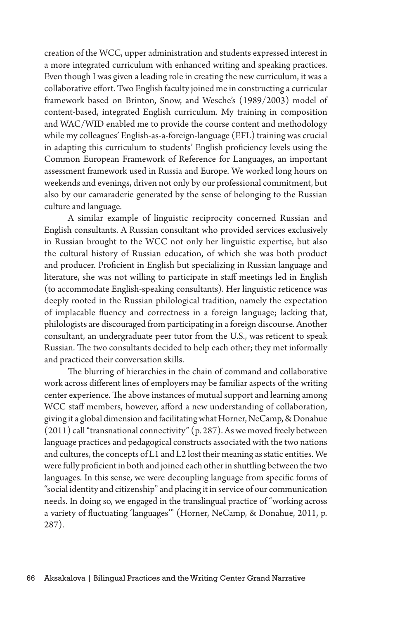creation of the WCC, upper administration and students expressed interest in a more integrated curriculum with enhanced writing and speaking practices. Even though I was given a leading role in creating the new curriculum, it was a collaborative effort. Two English faculty joined me in constructing a curricular framework based on Brinton, Snow, and Wesche's (1989/2003) model of content-based, integrated English curriculum. My training in composition and WAC/WID enabled me to provide the course content and methodology while my colleagues' English-as-a-foreign-language (EFL) training was crucial in adapting this curriculum to students' English proficiency levels using the Common European Framework of Reference for Languages, an important assessment framework used in Russia and Europe. We worked long hours on weekends and evenings, driven not only by our professional commitment, but also by our camaraderie generated by the sense of belonging to the Russian culture and language.

A similar example of linguistic reciprocity concerned Russian and English consultants. A Russian consultant who provided services exclusively in Russian brought to the WCC not only her linguistic expertise, but also the cultural history of Russian education, of which she was both product and producer. Proficient in English but specializing in Russian language and literature, she was not willing to participate in staff meetings led in English (to accommodate English-speaking consultants). Her linguistic reticence was deeply rooted in the Russian philological tradition, namely the expectation of implacable fluency and correctness in a foreign language; lacking that, philologists are discouraged from participating in a foreign discourse. Another consultant, an undergraduate peer tutor from the U.S., was reticent to speak Russian. The two consultants decided to help each other; they met informally and practiced their conversation skills.

The blurring of hierarchies in the chain of command and collaborative work across different lines of employers may be familiar aspects of the writing center experience. The above instances of mutual support and learning among WCC staff members, however, afford a new understanding of collaboration, giving it a global dimension and facilitating what Horner, NeCamp, & Donahue (2011) call "transnational connectivity" (p. 287). As we moved freely between language practices and pedagogical constructs associated with the two nations and cultures, the concepts of L1 and L2 lost their meaning as static entities. We were fully proficient in both and joined each other in shuttling between the two languages. In this sense, we were decoupling language from specific forms of "social identity and citizenship" and placing it in service of our communication needs. In doing so, we engaged in the translingual practice of "working across a variety of fluctuating 'languages'" (Horner, NeCamp, & Donahue, 2011, p. 287).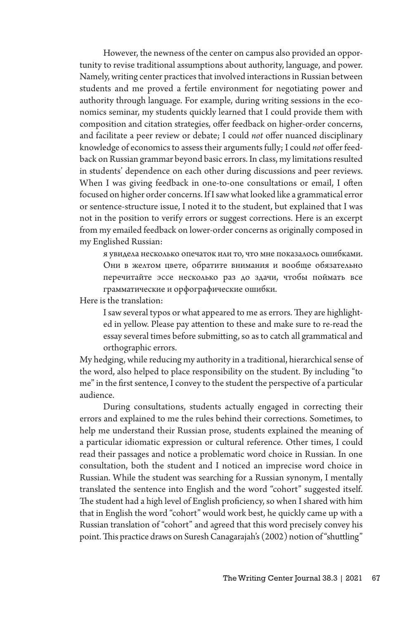However, the newness of the center on campus also provided an opportunity to revise traditional assumptions about authority, language, and power. Namely, writing center practices that involved interactions in Russian between students and me proved a fertile environment for negotiating power and authority through language. For example, during writing sessions in the economics seminar, my students quickly learned that I could provide them with composition and citation strategies, offer feedback on higher-order concerns, and facilitate a peer review or debate; I could *not* offer nuanced disciplinary knowledge of economics to assess their arguments fully; I could *not* offer feedback on Russian grammar beyond basic errors. In class, my limitations resulted in students' dependence on each other during discussions and peer reviews. When I was giving feedback in one-to-one consultations or email, I often focused on higher order concerns. If I saw what looked like a grammatical error or sentence-structure issue, I noted it to the student, but explained that I was not in the position to verify errors or suggest corrections. Here is an excerpt from my emailed feedback on lower-order concerns as originally composed in my Englished Russian:

я увидела несколько опечаток или то, что мне показалось ошибками. Они в желтом цвете, обратите внимания и вообще обязательно перечитайте эссе несколько раз до здачи, чтобы поймать все грамматические и орфографические ошибки.

Here is the translation:

I saw several typos or what appeared to me as errors. They are highlighted in yellow. Please pay attention to these and make sure to re-read the essay several times before submitting, so as to catch all grammatical and orthographic errors.

My hedging, while reducing my authority in a traditional, hierarchical sense of the word, also helped to place responsibility on the student. By including "to me" in the first sentence, I convey to the student the perspective of a particular audience.

During consultations, students actually engaged in correcting their errors and explained to me the rules behind their corrections. Sometimes, to help me understand their Russian prose, students explained the meaning of a particular idiomatic expression or cultural reference. Other times, I could read their passages and notice a problematic word choice in Russian. In one consultation, both the student and I noticed an imprecise word choice in Russian. While the student was searching for a Russian synonym, I mentally translated the sentence into English and the word "cohort" suggested itself. The student had a high level of English proficiency, so when I shared with him that in English the word "cohort" would work best, he quickly came up with a Russian translation of "cohort" and agreed that this word precisely convey his point. This practice draws on Suresh Canagarajah's (2002) notion of "shuttling"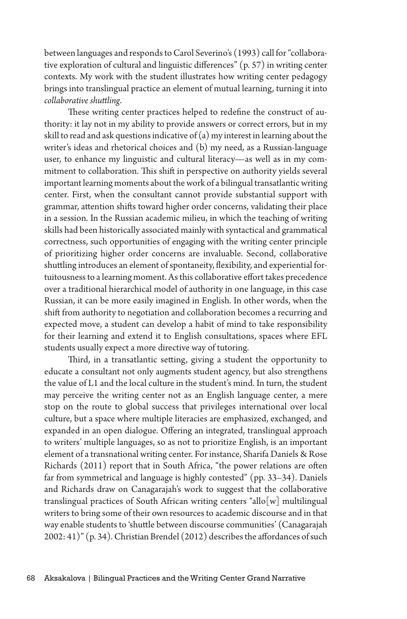between languages and responds to Carol Severino's (1993) call for "collaborative exploration of cultural and linguistic differences" (p. 57) in writing center contexts. My work with the student illustrates how writing center pedagogy brings into translingual practice an element of mutual learning, turning it into *collaborative shuttling*.

These writing center practices helped to redefine the construct of authority: it lay not in my ability to provide answers or correct errors, but in my skill to read and ask questions indicative of (a) my interest in learning about the writer's ideas and rhetorical choices and (b) my need, as a Russian-language user, to enhance my linguistic and cultural literacy—as well as in my commitment to collaboration. This shift in perspective on authority yields several important learning moments about the work of a bilingual transatlantic writing center. First, when the consultant cannot provide substantial support with grammar, attention shifts toward higher order concerns, validating their place in a session. In the Russian academic milieu, in which the teaching of writing skills had been historically associated mainly with syntactical and grammatical correctness, such opportunities of engaging with the writing center principle of prioritizing higher order concerns are invaluable. Second, collaborative shuttling introduces an element of spontaneity, flexibility, and experiential fortuitousness to a learning moment. As this collaborative effort takes precedence over a traditional hierarchical model of authority in one language, in this case Russian, it can be more easily imagined in English. In other words, when the shift from authority to negotiation and collaboration becomes a recurring and expected move, a student can develop a habit of mind to take responsibility for their learning and extend it to English consultations, spaces where EFL students usually expect a more directive way of tutoring.

Third, in a transatlantic setting, giving a student the opportunity to educate a consultant not only augments student agency, but also strengthens the value of L1 and the local culture in the student's mind. In turn, the student may perceive the writing center not as an English language center, a mere stop on the route to global success that privileges international over local culture, but a space where multiple literacies are emphasized, exchanged, and expanded in an open dialogue. Offering an integrated, translingual approach to writers' multiple languages, so as not to prioritize English, is an important element of a transnational writing center. For instance, Sharifa Daniels & Rose Richards (2011) report that in South Africa, "the power relations are often far from symmetrical and language is highly contested" (pp. 33–34). Daniels and Richards draw on Canagarajah's work to suggest that the collaborative translingual practices of South African writing centers "allo[w] multilingual writers to bring some of their own resources to academic discourse and in that way enable students to 'shuttle between discourse communities' (Canagarajah 2002: 41)" (p. 34). Christian Brendel (2012) describes the affordances of such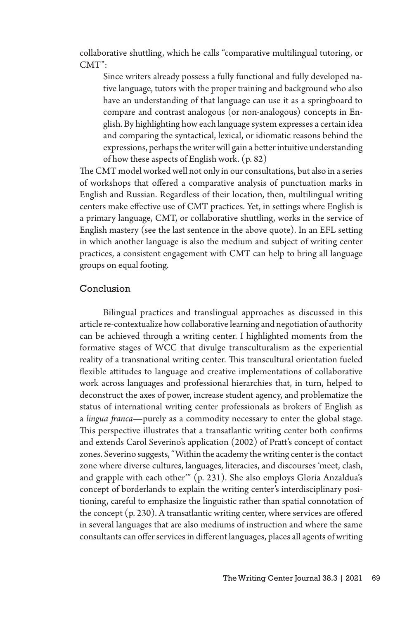collaborative shuttling, which he calls "comparative multilingual tutoring, or CMT":

Since writers already possess a fully functional and fully developed native language, tutors with the proper training and background who also have an understanding of that language can use it as a springboard to compare and contrast analogous (or non-analogous) concepts in English. By highlighting how each language system expresses a certain idea and comparing the syntactical, lexical, or idiomatic reasons behind the expressions, perhaps the writer will gain a better intuitive understanding of how these aspects of English work. (p. 82)

The CMT model worked well not only in our consultations, but also in a series of workshops that offered a comparative analysis of punctuation marks in English and Russian. Regardless of their location, then, multilingual writing centers make effective use of CMT practices. Yet, in settings where English is a primary language, CMT, or collaborative shuttling, works in the service of English mastery (see the last sentence in the above quote). In an EFL setting in which another language is also the medium and subject of writing center practices, a consistent engagement with CMT can help to bring all language groups on equal footing.

### Conclusion

Bilingual practices and translingual approaches as discussed in this article re-contextualize how collaborative learning and negotiation of authority can be achieved through a writing center. I highlighted moments from the formative stages of WCC that divulge transculturalism as the experiential reality of a transnational writing center. This transcultural orientation fueled flexible attitudes to language and creative implementations of collaborative work across languages and professional hierarchies that, in turn, helped to deconstruct the axes of power, increase student agency, and problematize the status of international writing center professionals as brokers of English as a *lingua franca*—purely as a commodity necessary to enter the global stage. This perspective illustrates that a transatlantic writing center both confirms and extends Carol Severino's application (2002) of Pratt's concept of contact zones. Severino suggests, "Within the academy the writing center is the contact zone where diverse cultures, languages, literacies, and discourses 'meet, clash, and grapple with each other'" (p. 231). She also employs Gloria Anzaldua's concept of borderlands to explain the writing center's interdisciplinary positioning, careful to emphasize the linguistic rather than spatial connotation of the concept (p. 230). A transatlantic writing center, where services are offered in several languages that are also mediums of instruction and where the same consultants can offer services in different languages, places all agents of writing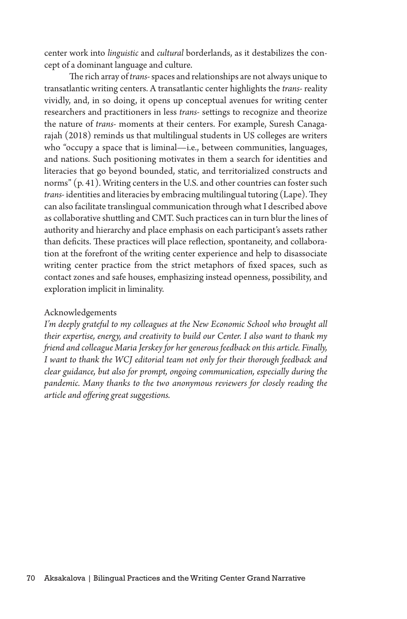center work into *linguistic* and *cultural* borderlands, as it destabilizes the concept of a dominant language and culture.

 The rich array of *trans-* spaces and relationships are not always unique to transatlantic writing centers. A transatlantic center highlights the *trans-* reality vividly, and, in so doing, it opens up conceptual avenues for writing center researchers and practitioners in less *trans-* settings to recognize and theorize the nature of *trans-* moments at their centers. For example, Suresh Canagarajah (2018) reminds us that multilingual students in US colleges are writers who "occupy a space that is liminal—i.e., between communities, languages, and nations. Such positioning motivates in them a search for identities and literacies that go beyond bounded, static, and territorialized constructs and norms" (p. 41). Writing centers in the U.S. and other countries can foster such *trans-* identities and literacies by embracing multilingual tutoring (Lape). They can also facilitate translingual communication through what I described above as collaborative shuttling and CMT. Such practices can in turn blur the lines of authority and hierarchy and place emphasis on each participant's assets rather than deficits. These practices will place reflection, spontaneity, and collaboration at the forefront of the writing center experience and help to disassociate writing center practice from the strict metaphors of fixed spaces, such as contact zones and safe houses, emphasizing instead openness, possibility, and exploration implicit in liminality.

#### Acknowledgements

*I'm deeply grateful to my colleagues at the New Economic School who brought all their expertise, energy, and creativity to build our Center. I also want to thank my friend and colleague Maria Jerskey for her generous feedback on this article. Finally, I want to thank the WCJ editorial team not only for their thorough feedback and clear guidance, but also for prompt, ongoing communication, especially during the pandemic. Many thanks to the two anonymous reviewers for closely reading the article and offering great suggestions.*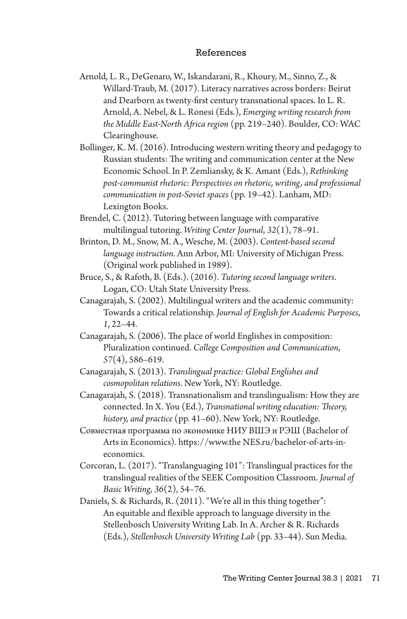### References

- Arnold, L. R., DeGenaro, W., Iskandarani, R., Khoury, M., Sinno, Z., & Willard-Traub, M. (2017). Literacy narratives across borders: Beirut and Dearborn as twenty-first century transnational spaces. In L. R. Arnold, A. Nebel, & L. Ronesi (Eds.), *Emerging writing research from the Middle East-North Africa region* (pp. 219–240). Boulder, CO: WAC Clearinghouse.
- Bollinger, K. M. (2016). Introducing western writing theory and pedagogy to Russian students: The writing and communication center at the New Economic School. In P. Zemliansky, & K. Amant (Eds.), *Rethinking post-communist rhetoric: Perspectives on rhetoric, writing, and professional communication in post-Soviet spaces* (pp. 19–42). Lanham, MD: Lexington Books.
- Brendel, C. (2012). Tutoring between language with comparative multilingual tutoring. *Writing Center Journal*, *32*(1), 78–91.
- Brinton, D. M., Snow, M. A., Wesche, M. (2003). *Content-based second language instruction*. Ann Arbor, MI: University of Michigan Press. (Original work published in 1989).
- Bruce, S., & Rafoth, B. (Eds.). (2016). *Tutoring second language writers*. Logan, CO: Utah State University Press.
- Canagarajah, S. (2002). Multilingual writers and the academic community: Towards a critical relationship. *Journal of English for Academic Purposes*, *1*, 22–44.
- Canagarajah, S. (2006). The place of world Englishes in composition: Pluralization continued. *College Composition and Communication*, *57*(4), 586–619.
- Canagarajah, S. (2013). *Translingual practice: Global Englishes and cosmopolitan relations*. New York, NY: Routledge.
- Canagarajah, S. (2018). Transnationalism and translingualism: How they are connected. In X. You (Ed.), *Transnational writing education: Theory, history, and practice* (pp. 41–60). New York, NY: Routledge.
- Совместная программа по экономике НИУ ВШЭ и РЭШ (Bachelor of Arts in Economics). https://www.the NES.ru/bachelor-of-arts-ineconomics.
- Corcoran, L. (2017). "Translanguaging 101": Translingual practices for the translingual realities of the SEEK Composition Classroom. *Journal of Basic Writing*, *36*(2), 54–76.
- Daniels, S. & Richards, R. (2011). "We're all in this thing together": An equitable and flexible approach to language diversity in the Stellenbosch University Writing Lab. In A. Archer & R. Richards (Eds.), *Stellenbosch University Writing Lab* (pp. 33–44). Sun Media.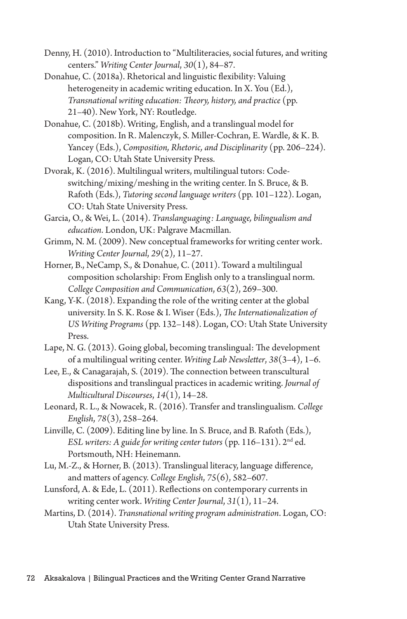- Denny, H. (2010). Introduction to "Multiliteracies, social futures, and writing centers." *Writing Center Journal*, *30*(1), 84–87.
- Donahue, C. (2018a). Rhetorical and linguistic flexibility: Valuing heterogeneity in academic writing education. In X. You (Ed.), *Transnational writing education: Theory, history, and practice* (pp. 21–40). New York, NY: Routledge.
- Donahue, C. (2018b). Writing, English, and a translingual model for composition. In R. Malenczyk, S. Miller-Cochran, E. Wardle, & K. B. Yancey (Eds.), *Composition, Rhetoric, and Disciplinarity* (pp. 206–224). Logan, CO: Utah State University Press.
- Dvorak, K. (2016). Multilingual writers, multilingual tutors: Codeswitching/mixing/meshing in the writing center. In S. Bruce, & B. Rafoth (Eds.), *Tutoring second language writers* (pp. 101–122). Logan, CO: Utah State University Press.
- Garcia, O., & Wei, L. (2014). *Translanguaging: Language, bilingualism and education*. London, UK: Palgrave Macmillan.
- Grimm, N. M. (2009). New conceptual frameworks for writing center work. *Writing Center Journal*, *29*(2), 11–27.
- Horner, B., NeCamp, S., & Donahue, C. (2011). Toward a multilingual composition scholarship: From English only to a translingual norm. *College Composition and Communication*, *63*(2), 269–300.
- Kang, Y-K. (2018). Expanding the role of the writing center at the global university. In S. K. Rose & I. Wiser (Eds.), *The Internationalization of US Writing Programs* (pp. 132–148). Logan, CO: Utah State University Press.
- Lape, N. G. (2013). Going global, becoming translingual: The development of a multilingual writing center. *Writing Lab Newsletter*, *38*(3–4), 1–6.
- Lee, E., & Canagarajah, S. (2019). The connection between transcultural dispositions and translingual practices in academic writing. *Journal of Multicultural Discourses*, *14*(1), 14–28.
- Leonard, R. L., & Nowacek, R. (2016). Transfer and translingualism. *College English*, *78*(3), 258–264.
- Linville, C. (2009). Editing line by line. In S. Bruce, and B. Rafoth (Eds.), *ESL writers: A guide for writing center tutors* (pp. 116–131). 2nd ed. Portsmouth, NH: Heinemann.
- Lu, M.-Z., & Horner, B. (2013). Translingual literacy, language difference, and matters of agency. *College English*, *75*(6), 582–607.
- Lunsford, A. & Ede, L. (2011). Reflections on contemporary currents in writing center work. *Writing Center Journal*, *31*(1), 11–24.
- Martins, D. (2014). *Transnational writing program administration*. Logan, CO: Utah State University Press.